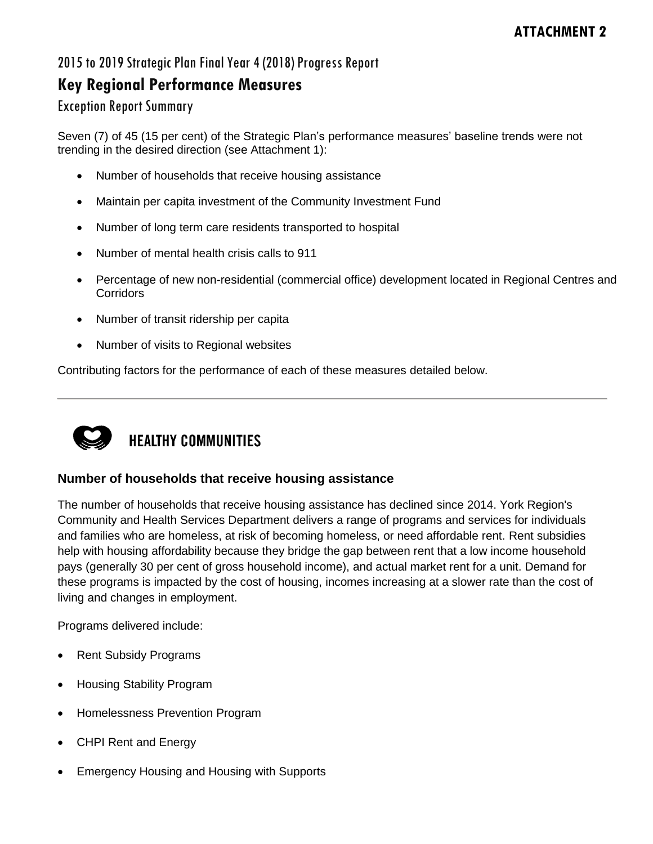### 2015 to 2019 Strategic Plan Final Year 4 (2018) Progress Report

## **Key Regional Performance Measures**

#### Exception Report Summary

Seven (7) of 45 (15 per cent) of the Strategic Plan's performance measures' baseline trends were not trending in the desired direction (see Attachment 1):

- Number of households that receive housing assistance
- Maintain per capita investment of the Community Investment Fund
- Number of long term care residents transported to hospital
- Number of mental health crisis calls to 911
- Percentage of new non-residential (commercial office) development located in Regional Centres and **Corridors**
- Number of transit ridership per capita
- Number of visits to Regional websites

Contributing factors for the performance of each of these measures detailed below.



# **HEALTHY COMMUNITIES**

#### **Number of households that receive housing assistance**

The number of households that receive housing assistance has declined since 2014. York Region's Community and Health Services Department delivers a range of programs and services for individuals and families who are homeless, at risk of becoming homeless, or need affordable rent. Rent subsidies help with housing affordability because they bridge the gap between rent that a low income household pays (generally 30 per cent of gross household income), and actual market rent for a unit. Demand for these programs is impacted by the cost of housing, incomes increasing at a slower rate than the cost of living and changes in employment.

Programs delivered include:

- Rent Subsidy Programs
- Housing Stability Program
- Homelessness Prevention Program
- CHPI Rent and Energy
- Emergency Housing and Housing with Supports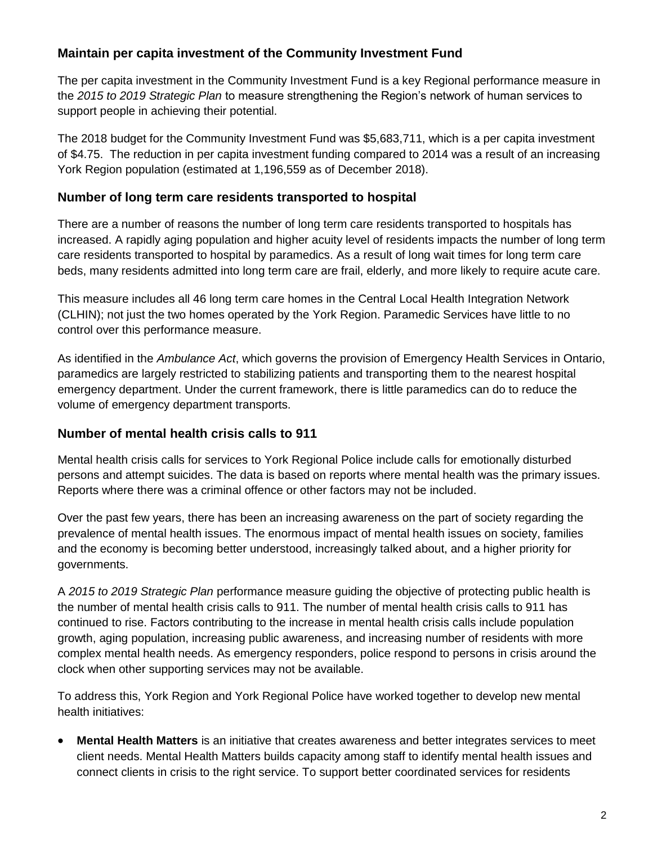#### **Maintain per capita investment of the Community Investment Fund**

The per capita investment in the Community Investment Fund is a key Regional performance measure in the *2015 to 2019 Strategic Plan* to measure strengthening the Region's network of human services to support people in achieving their potential.

The 2018 budget for the Community Investment Fund was \$5,683,711, which is a per capita investment of \$4.75. The reduction in per capita investment funding compared to 2014 was a result of an increasing York Region population (estimated at 1,196,559 as of December 2018).

#### **Number of long term care residents transported to hospital**

There are a number of reasons the number of long term care residents transported to hospitals has increased. A rapidly aging population and higher acuity level of residents impacts the number of long term care residents transported to hospital by paramedics. As a result of long wait times for long term care beds, many residents admitted into long term care are frail, elderly, and more likely to require acute care.

This measure includes all 46 long term care homes in the Central Local Health Integration Network (CLHIN); not just the two homes operated by the York Region. Paramedic Services have little to no control over this performance measure.

As identified in the *Ambulance Act*, which governs the provision of Emergency Health Services in Ontario, paramedics are largely restricted to stabilizing patients and transporting them to the nearest hospital emergency department. Under the current framework, there is little paramedics can do to reduce the volume of emergency department transports.

#### **Number of mental health crisis calls to 911**

Mental health crisis calls for services to York Regional Police include calls for emotionally disturbed persons and attempt suicides. The data is based on reports where mental health was the primary issues. Reports where there was a criminal offence or other factors may not be included.

Over the past few years, there has been an increasing awareness on the part of society regarding the prevalence of mental health issues. The enormous impact of mental health issues on society, families and the economy is becoming better understood, increasingly talked about, and a higher priority for governments.

A *2015 to 2019 Strategic Plan* performance measure guiding the objective of protecting public health is the number of mental health crisis calls to 911. The number of mental health crisis calls to 911 has continued to rise. Factors contributing to the increase in mental health crisis calls include population growth, aging population, increasing public awareness, and increasing number of residents with more complex mental health needs. As emergency responders, police respond to persons in crisis around the clock when other supporting services may not be available.

To address this, York Region and York Regional Police have worked together to develop new mental health initiatives:

 **Mental Health Matters** is an initiative that creates awareness and better integrates services to meet client needs. Mental Health Matters builds capacity among staff to identify mental health issues and connect clients in crisis to the right service. To support better coordinated services for residents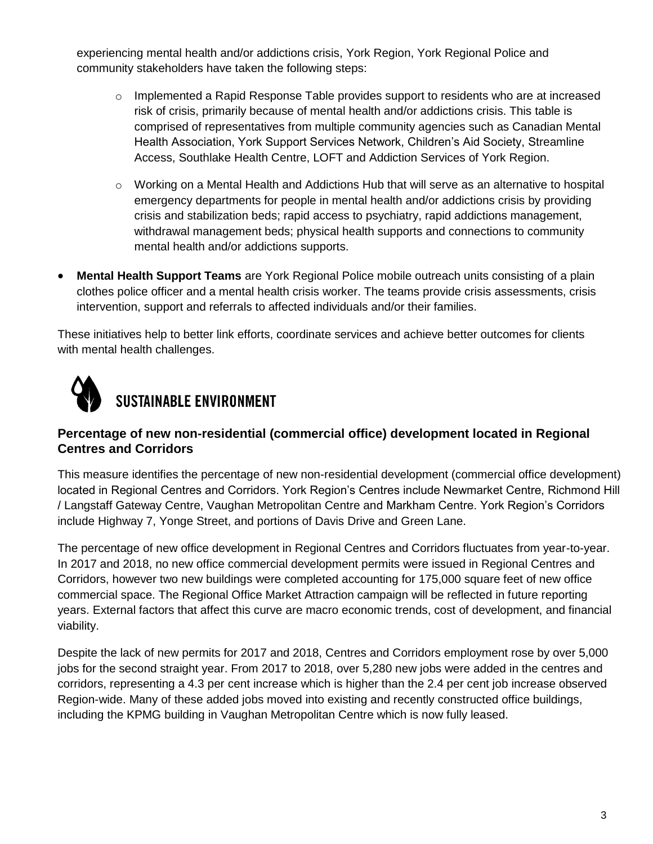experiencing mental health and/or addictions crisis, York Region, York Regional Police and community stakeholders have taken the following steps:

- $\circ$  Implemented a Rapid Response Table provides support to residents who are at increased risk of crisis, primarily because of mental health and/or addictions crisis. This table is comprised of representatives from multiple community agencies such as Canadian Mental Health Association, York Support Services Network, Children's Aid Society, Streamline Access, Southlake Health Centre, LOFT and Addiction Services of York Region.
- $\circ$  Working on a Mental Health and Addictions Hub that will serve as an alternative to hospital emergency departments for people in mental health and/or addictions crisis by providing crisis and stabilization beds; rapid access to psychiatry, rapid addictions management, withdrawal management beds; physical health supports and connections to community mental health and/or addictions supports.
- **Mental Health Support Teams** are York Regional Police mobile outreach units consisting of a plain clothes police officer and a mental health crisis worker. The teams provide crisis assessments, crisis intervention, support and referrals to affected individuals and/or their families.

These initiatives help to better link efforts, coordinate services and achieve better outcomes for clients with mental health challenges.



#### **Percentage of new non-residential (commercial office) development located in Regional Centres and Corridors**

This measure identifies the percentage of new non-residential development (commercial office development) located in Regional Centres and Corridors. York Region's Centres include Newmarket Centre, Richmond Hill / Langstaff Gateway Centre, Vaughan Metropolitan Centre and Markham Centre. York Region's Corridors include Highway 7, Yonge Street, and portions of Davis Drive and Green Lane.

The percentage of new office development in Regional Centres and Corridors fluctuates from year-to-year. In 2017 and 2018, no new office commercial development permits were issued in Regional Centres and Corridors, however two new buildings were completed accounting for 175,000 square feet of new office commercial space. The Regional Office Market Attraction campaign will be reflected in future reporting years. External factors that affect this curve are macro economic trends, cost of development, and financial viability.

Despite the lack of new permits for 2017 and 2018, Centres and Corridors employment rose by over 5,000 jobs for the second straight year. From 2017 to 2018, over 5,280 new jobs were added in the centres and corridors, representing a 4.3 per cent increase which is higher than the 2.4 per cent job increase observed Region-wide. Many of these added jobs moved into existing and recently constructed office buildings, including the KPMG building in Vaughan Metropolitan Centre which is now fully leased.